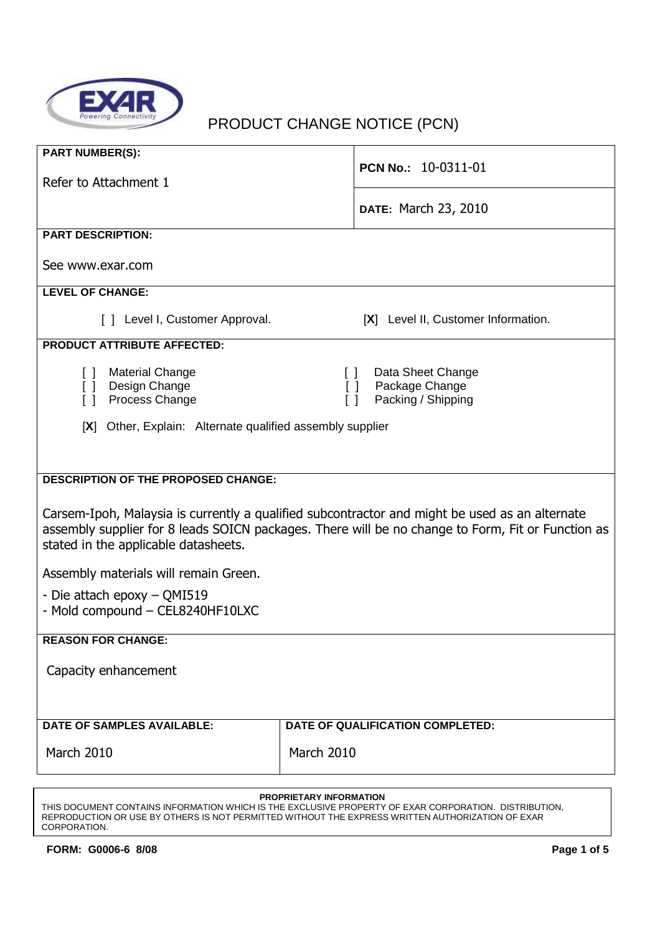

# PRODUCT CHANGE NOTICE (PCN)

| <b>PART NUMBER(S):</b>                                    |                                                                                                   |  |  |  |
|-----------------------------------------------------------|---------------------------------------------------------------------------------------------------|--|--|--|
| Refer to Attachment 1                                     | <b>PCN No.: 10-0311-01</b>                                                                        |  |  |  |
|                                                           |                                                                                                   |  |  |  |
|                                                           | <b>DATE: March 23, 2010</b>                                                                       |  |  |  |
| <b>PART DESCRIPTION:</b>                                  |                                                                                                   |  |  |  |
|                                                           |                                                                                                   |  |  |  |
| See www.exar.com                                          |                                                                                                   |  |  |  |
| <b>LEVEL OF CHANGE:</b>                                   |                                                                                                   |  |  |  |
|                                                           |                                                                                                   |  |  |  |
| [ ] Level I, Customer Approval.                           | [X] Level II, Customer Information.                                                               |  |  |  |
| <b>PRODUCT ATTRIBUTE AFFECTED:</b>                        |                                                                                                   |  |  |  |
| <b>Material Change</b>                                    | Data Sheet Change                                                                                 |  |  |  |
| $\Box$<br>Design Change<br>$\Box$                         | $\Box$<br>Package Change<br>$\Box$                                                                |  |  |  |
| Process Change<br>ſΙ                                      | Packing / Shipping<br>$\lceil$ $\rceil$                                                           |  |  |  |
|                                                           |                                                                                                   |  |  |  |
| [X] Other, Explain: Alternate qualified assembly supplier |                                                                                                   |  |  |  |
|                                                           |                                                                                                   |  |  |  |
| <b>DESCRIPTION OF THE PROPOSED CHANGE:</b>                |                                                                                                   |  |  |  |
|                                                           |                                                                                                   |  |  |  |
|                                                           | Carsem-Ipoh, Malaysia is currently a qualified subcontractor and might be used as an alternate    |  |  |  |
|                                                           | assembly supplier for 8 leads SOICN packages. There will be no change to Form, Fit or Function as |  |  |  |
| stated in the applicable datasheets.                      |                                                                                                   |  |  |  |
|                                                           |                                                                                                   |  |  |  |
| Assembly materials will remain Green.                     |                                                                                                   |  |  |  |
| - Die attach epoxy – QMI519                               |                                                                                                   |  |  |  |
| - Mold compound - CEL8240HF10LXC                          |                                                                                                   |  |  |  |
|                                                           |                                                                                                   |  |  |  |
| <b>REASON FOR CHANGE:</b>                                 |                                                                                                   |  |  |  |
| Capacity enhancement                                      |                                                                                                   |  |  |  |
|                                                           |                                                                                                   |  |  |  |
|                                                           |                                                                                                   |  |  |  |
| <b>DATE OF SAMPLES AVAILABLE:</b>                         | DATE OF QUALIFICATION COMPLETED:                                                                  |  |  |  |
| March 2010<br>March 2010                                  |                                                                                                   |  |  |  |
|                                                           |                                                                                                   |  |  |  |
|                                                           |                                                                                                   |  |  |  |

#### **PROPRIETARY INFORMATION**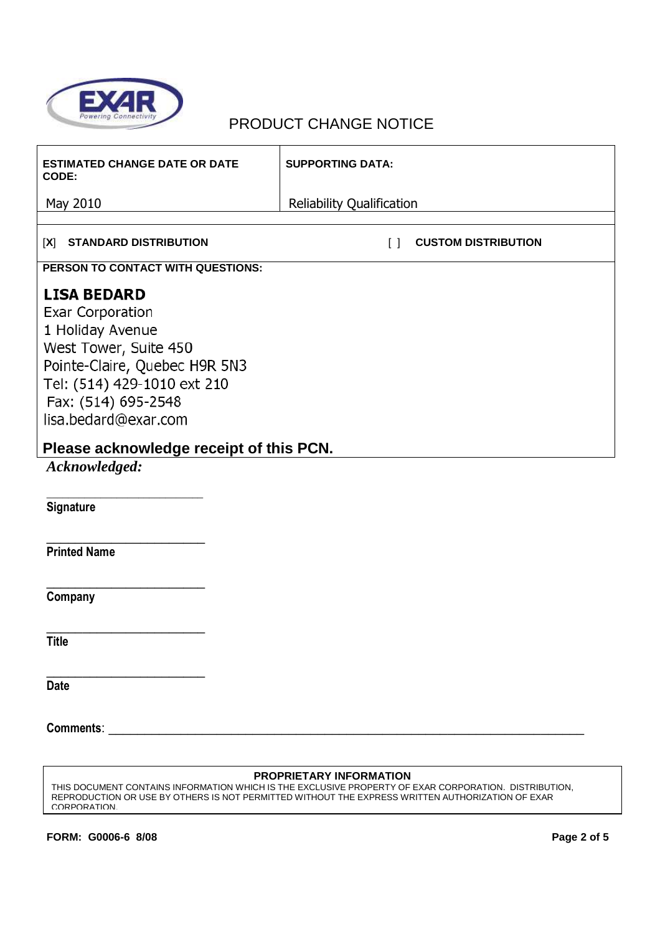

| <b>ESTIMATED CHANGE DATE OR DATE</b><br>CODE: | <b>SUPPORTING DATA:</b>                         |  |  |  |
|-----------------------------------------------|-------------------------------------------------|--|--|--|
| May 2010                                      | <b>Reliability Qualification</b>                |  |  |  |
| <b>STANDARD DISTRIBUTION</b><br>[X]           | <b>CUSTOM DISTRIBUTION</b><br>$\lceil$ $\rceil$ |  |  |  |
|                                               |                                                 |  |  |  |
| PERSON TO CONTACT WITH QUESTIONS:             |                                                 |  |  |  |
| <b>LISA BEDARD</b>                            |                                                 |  |  |  |
| Exar Corporation<br>1 Holiday Avenue          |                                                 |  |  |  |
| West Tower, Suite 450                         |                                                 |  |  |  |
| Pointe-Claire, Quebec H9R 5N3                 |                                                 |  |  |  |
| Tel: (514) 429-1010 ext 210                   |                                                 |  |  |  |
| Fax: (514) 695-2548                           |                                                 |  |  |  |
| lisa.bedard@exar.com                          |                                                 |  |  |  |
| Please acknowledge receipt of this PCN.       |                                                 |  |  |  |
| Acknowledged:                                 |                                                 |  |  |  |
|                                               |                                                 |  |  |  |
| Signature                                     |                                                 |  |  |  |
|                                               |                                                 |  |  |  |
| <b>Printed Name</b>                           |                                                 |  |  |  |
|                                               |                                                 |  |  |  |
| Company                                       |                                                 |  |  |  |
|                                               |                                                 |  |  |  |
| <b>Title</b>                                  |                                                 |  |  |  |
|                                               |                                                 |  |  |  |
| <b>Date</b>                                   |                                                 |  |  |  |
|                                               |                                                 |  |  |  |
|                                               |                                                 |  |  |  |
|                                               |                                                 |  |  |  |
| <b>PROPRIETARY INFORMATION</b>                |                                                 |  |  |  |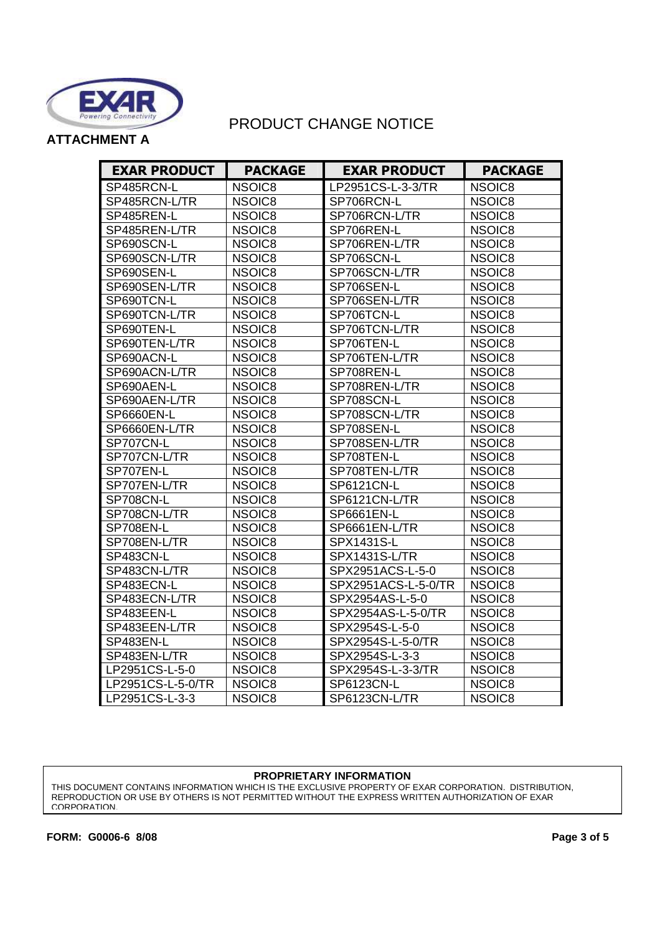

**ATTACHMENT A** 

| <b>EXAR PRODUCT</b> | <b>PACKAGE</b>     | <b>EXAR PRODUCT</b> | <b>PACKAGE</b> |
|---------------------|--------------------|---------------------|----------------|
| SP485RCN-L          | NSOIC8             | LP2951CS-L-3-3/TR   | NSOIC8         |
| SP485RCN-L/TR       | NSOIC8             | SP706RCN-L          | NSOIC8         |
| SP485REN-L          | NSOIC8             | SP706RCN-L/TR       | NSOIC8         |
| SP485REN-L/TR       | NSOIC8             | SP706REN-L          | NSOIC8         |
| SP690SCN-L          | NSOIC8             | SP706REN-L/TR       | NSOIC8         |
| SP690SCN-L/TR       | NSOIC8             | SP706SCN-L          | NSOIC8         |
| SP690SEN-L          | NSOIC8             | SP706SCN-L/TR       | NSOIC8         |
| SP690SEN-L/TR       | NSOIC <sub>8</sub> | SP706SEN-L          | NSOIC8         |
| SP690TCN-L          | NSOIC8             | SP706SEN-L/TR       | NSOIC8         |
| SP690TCN-L/TR       | NSOIC8             | SP706TCN-L          | NSOIC8         |
| SP690TEN-L          | NSOIC8             | SP706TCN-L/TR       | NSOIC8         |
| SP690TEN-L/TR       | NSOIC8             | SP706TEN-L          | NSOIC8         |
| SP690ACN-L          | NSOIC8             | SP706TEN-L/TR       | NSOIC8         |
| SP690ACN-L/TR       | NSOIC8             | SP708REN-L          | NSOIC8         |
| SP690AEN-L          | NSOIC8             | SP708REN-L/TR       | NSOIC8         |
| SP690AEN-L/TR       | NSOIC8             | SP708SCN-L          | NSOIC8         |
| <b>SP6660EN-L</b>   | NSOIC8             | SP708SCN-L/TR       | NSOIC8         |
| SP6660EN-L/TR       | NSOIC8             | SP708SEN-L          | NSOIC8         |
| SP707CN-L           | NSOIC8             | SP708SEN-L/TR       | NSOIC8         |
| SP707CN-L/TR        | NSOIC8             | SP708TEN-L          | NSOIC8         |
| SP707EN-L           | NSOIC8             | SP708TEN-L/TR       | NSOIC8         |
| SP707EN-L/TR        | NSOIC8             | SP6121CN-L          | NSOIC8         |
| SP708CN-L           | NSOIC8             | SP6121CN-L/TR       | NSOIC8         |
| SP708CN-L/TR        | NSOIC8             | SP6661EN-L          | NSOIC8         |
| SP708EN-L           | NSOIC8             | SP6661EN-L/TR       | NSOIC8         |
| SP708EN-L/TR        | NSOIC8             | SPX1431S-L          | NSOIC8         |
| <b>SP483CN-L</b>    | NSOIC8             | SPX1431S-L/TR       | NSOIC8         |
| SP483CN-L/TR        | NSOIC8             | SPX2951ACS-L-5-0    | NSOIC8         |
| SP483ECN-L          | NSOIC8             | SPX2951ACS-L-5-0/TR | NSOIC8         |
| SP483ECN-L/TR       | NSOIC8             | SPX2954AS-L-5-0     | NSOIC8         |
| SP483EEN-L          | NSOIC8             | SPX2954AS-L-5-0/TR  | NSOIC8         |
| SP483EEN-L/TR       | NSOIC8             | SPX2954S-L-5-0      | NSOIC8         |
| SP483EN-L           | NSOIC8             | SPX2954S-L-5-0/TR   | NSOIC8         |
| SP483EN-L/TR        | NSOIC8             | SPX2954S-L-3-3      | NSOIC8         |
| LP2951CS-L-5-0      | NSOIC8             | SPX2954S-L-3-3/TR   | NSOIC8         |
| LP2951CS-L-5-0/TR   | NSOIC8             | SP6123CN-L          | NSOIC8         |
| LP2951CS-L-3-3      | NSOIC8             | SP6123CN-L/TR       | NSOIC8         |

#### **PROPRIETARY INFORMATION**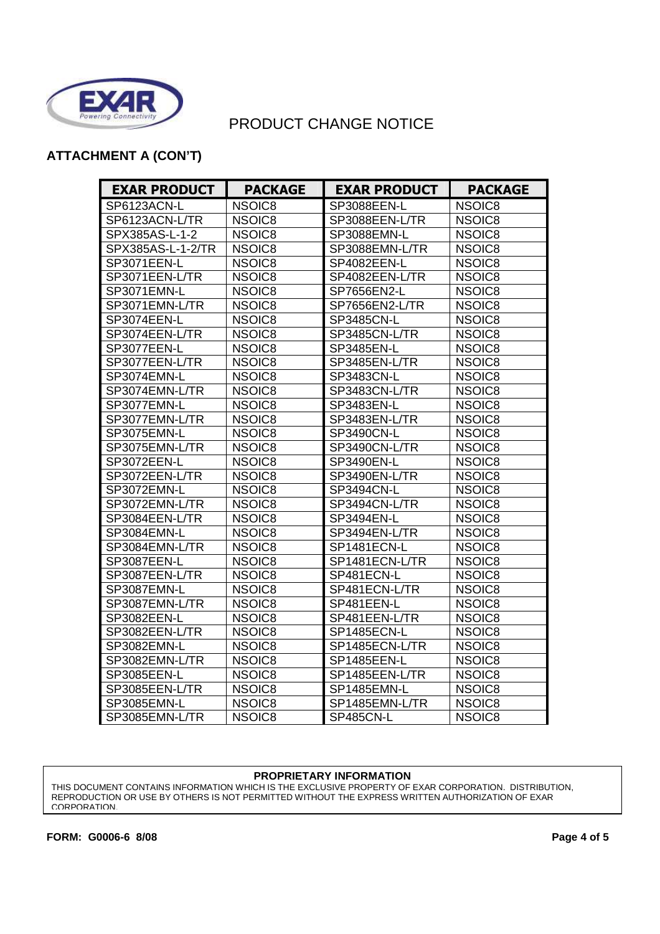

### **ATTACHMENT A (CON'T)**

| <b>EXAR PRODUCT</b> | <b>PACKAGE</b> | <b>EXAR PRODUCT</b> | <b>PACKAGE</b> |
|---------------------|----------------|---------------------|----------------|
| SP6123ACN-L         | NSOIC8         | SP3088EEN-L         | NSOIC8         |
| SP6123ACN-L/TR      | NSOIC8         | SP3088EEN-L/TR      | NSOIC8         |
| SPX385AS-L-1-2      | NSOIC8         | SP3088EMN-L         | NSOIC8         |
| SPX385AS-L-1-2/TR   | NSOIC8         | SP3088EMN-L/TR      | NSOIC8         |
| SP3071EEN-L         | NSOIC8         | SP4082EEN-L         | NSOIC8         |
| SP3071EEN-L/TR      | NSOIC8         | SP4082EEN-L/TR      | NSOIC8         |
| SP3071EMN-L         | NSOIC8         | SP7656EN2-L         | NSOIC8         |
| SP3071EMN-L/TR      | NSOIC8         | SP7656EN2-L/TR      | NSOIC8         |
| SP3074EEN-L         | NSOIC8         | SP3485CN-L          | NSOIC8         |
| SP3074EEN-L/TR      | NSOIC8         | SP3485CN-L/TR       | NSOIC8         |
| SP3077EEN-L         | NSOIC8         | SP3485EN-L          | NSOIC8         |
| SP3077EEN-L/TR      | NSOIC8         | SP3485EN-L/TR       | NSOIC8         |
| SP3074EMN-L         | NSOIC8         | SP3483CN-L          | NSOIC8         |
| SP3074EMN-L/TR      | NSOIC8         | SP3483CN-L/TR       | NSOIC8         |
| SP3077EMN-L         | NSOIC8         | SP3483EN-L          | NSOIC8         |
| SP3077EMN-L/TR      | NSOIC8         | SP3483EN-L/TR       | NSOIC8         |
| SP3075EMN-L         | NSOIC8         | SP3490CN-L          | NSOIC8         |
| SP3075EMN-L/TR      | NSOIC8         | SP3490CN-L/TR       | NSOIC8         |
| SP3072EEN-L         | NSOIC8         | <b>SP3490EN-L</b>   | NSOIC8         |
| SP3072EEN-L/TR      | NSOIC8         | SP3490EN-L/TR       | NSOIC8         |
| SP3072EMN-L         | NSOIC8         | SP3494CN-L          | NSOIC8         |
| SP3072EMN-L/TR      | NSOIC8         | SP3494CN-L/TR       | NSOIC8         |
| SP3084EEN-L/TR      | NSOIC8         | SP3494EN-L          | NSOIC8         |
| SP3084EMN-L         | NSOIC8         | SP3494EN-L/TR       | NSOIC8         |
| SP3084EMN-L/TR      | NSOIC8         | SP1481ECN-L         | NSOIC8         |
| SP3087EEN-L         | NSOIC8         | SP1481ECN-L/TR      | NSOIC8         |
| SP3087EEN-L/TR      | NSOIC8         | SP481ECN-L          | NSOIC8         |
| SP3087EMN-L         | NSOIC8         | SP481ECN-L/TR       | NSOIC8         |
| SP3087EMN-L/TR      | NSOIC8         | SP481EEN-L          | NSOIC8         |
| SP3082EEN-L         | NSOIC8         | SP481EEN-L/TR       | NSOIC8         |
| SP3082EEN-L/TR      | NSOIC8         | SP1485ECN-L         | NSOIC8         |
| SP3082EMN-L         | NSOIC8         | SP1485ECN-L/TR      | NSOIC8         |
| SP3082EMN-L/TR      | NSOIC8         | SP1485EEN-L         | NSOIC8         |
| SP3085EEN-L         | NSOIC8         | SP1485EEN-L/TR      | NSOIC8         |
| SP3085EEN-L/TR      | NSOIC8         | SP1485EMN-L         | NSOIC8         |
| SP3085EMN-L         | NSOIC8         | SP1485EMN-L/TR      | NSOIC8         |
| SP3085EMN-L/TR      | NSOIC8         | <b>SP485CN-L</b>    | NSOIC8         |

#### **PROPRIETARY INFORMATION**